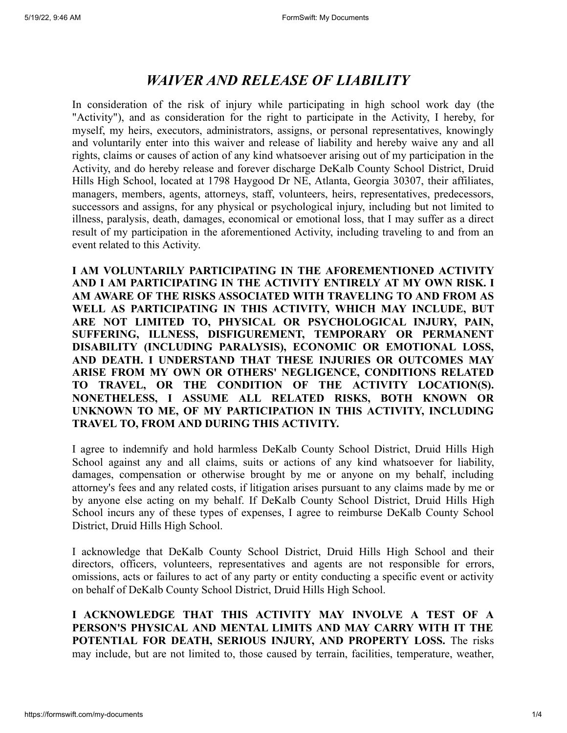## *WAIVER AND RELEASE OF LIABILITY*

In consideration of the risk of injury while participating in high school work day (the "Activity"), and as consideration for the right to participate in the Activity, I hereby, for myself, my heirs, executors, administrators, assigns, or personal representatives, knowingly and voluntarily enter into this waiver and release of liability and hereby waive any and all rights, claims or causes of action of any kind whatsoever arising out of my participation in the Activity, and do hereby release and forever discharge DeKalb County School District, Druid Hills High School, located at 1798 Haygood Dr NE, Atlanta, Georgia 30307, their affiliates, managers, members, agents, attorneys, staff, volunteers, heirs, representatives, predecessors, successors and assigns, for any physical or psychological injury, including but not limited to illness, paralysis, death, damages, economical or emotional loss, that I may suffer as a direct result of my participation in the aforementioned Activity, including traveling to and from an event related to this Activity.

**I AM VOLUNTARILY PARTICIPATING IN THE AFOREMENTIONED ACTIVITY AND I AM PARTICIPATING IN THE ACTIVITY ENTIRELY AT MY OWN RISK. I AM AWARE OF THE RISKS ASSOCIATED WITH TRAVELING TO AND FROM AS WELL AS PARTICIPATING IN THIS ACTIVITY, WHICH MAY INCLUDE, BUT ARE NOT LIMITED TO, PHYSICAL OR PSYCHOLOGICAL INJURY, PAIN, SUFFERING, ILLNESS, DISFIGUREMENT, TEMPORARY OR PERMANENT DISABILITY (INCLUDING PARALYSIS), ECONOMIC OR EMOTIONAL LOSS, AND DEATH. I UNDERSTAND THAT THESE INJURIES OR OUTCOMES MAY ARISE FROM MY OWN OR OTHERS' NEGLIGENCE, CONDITIONS RELATED TO TRAVEL, OR THE CONDITION OF THE ACTIVITY LOCATION(S). NONETHELESS, I ASSUME ALL RELATED RISKS, BOTH KNOWN OR UNKNOWN TO ME, OF MY PARTICIPATION IN THIS ACTIVITY, INCLUDING TRAVEL TO, FROM AND DURING THIS ACTIVITY.**

I agree to indemnify and hold harmless DeKalb County School District, Druid Hills High School against any and all claims, suits or actions of any kind whatsoever for liability, damages, compensation or otherwise brought by me or anyone on my behalf, including attorney's fees and any related costs, if litigation arises pursuant to any claims made by me or by anyone else acting on my behalf. If DeKalb County School District, Druid Hills High School incurs any of these types of expenses, I agree to reimburse DeKalb County School District, Druid Hills High School.

I acknowledge that DeKalb County School District, Druid Hills High School and their directors, officers, volunteers, representatives and agents are not responsible for errors, omissions, acts or failures to act of any party or entity conducting a specific event or activity on behalf of DeKalb County School District, Druid Hills High School.

**I ACKNOWLEDGE THAT THIS ACTIVITY MAY INVOLVE A TEST OF A PERSON'S PHYSICAL AND MENTAL LIMITS AND MAY CARRY WITH IT THE POTENTIAL FOR DEATH, SERIOUS INJURY, AND PROPERTY LOSS.** The risks may include, but are not limited to, those caused by terrain, facilities, temperature, weather,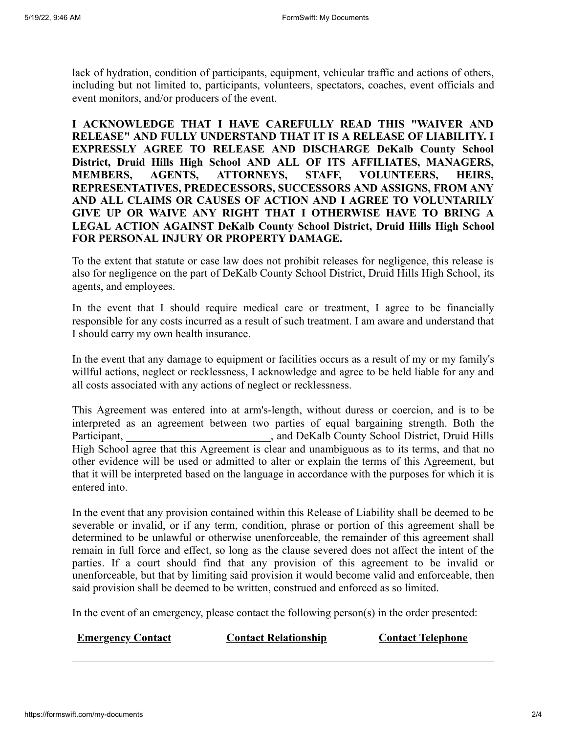lack of hydration, condition of participants, equipment, vehicular traffic and actions of others, including but not limited to, participants, volunteers, spectators, coaches, event officials and event monitors, and/or producers of the event.

**I ACKNOWLEDGE THAT I HAVE CAREFULLY READ THIS "WAIVER AND RELEASE" AND FULLY UNDERSTAND THAT IT IS A RELEASE OF LIABILITY. I EXPRESSLY AGREE TO RELEASE AND DISCHARGE DeKalb County School District, Druid Hills High School AND ALL OF ITS AFFILIATES, MANAGERS, MEMBERS, AGENTS, ATTORNEYS, STAFF, VOLUNTEERS, HEIRS, REPRESENTATIVES, PREDECESSORS, SUCCESSORS AND ASSIGNS, FROM ANY AND ALL CLAIMS OR CAUSES OF ACTION AND I AGREE TO VOLUNTARILY GIVE UP OR WAIVE ANY RIGHT THAT I OTHERWISE HAVE TO BRING A LEGAL ACTION AGAINST DeKalb County School District, Druid Hills High School FOR PERSONAL INJURY OR PROPERTY DAMAGE.**

To the extent that statute or case law does not prohibit releases for negligence, this release is also for negligence on the part of DeKalb County School District, Druid Hills High School, its agents, and employees.

In the event that I should require medical care or treatment, I agree to be financially responsible for any costs incurred as a result of such treatment. I am aware and understand that I should carry my own health insurance.

In the event that any damage to equipment or facilities occurs as a result of my or my family's willful actions, neglect or recklessness, I acknowledge and agree to be held liable for any and all costs associated with any actions of neglect or recklessness.

This Agreement was entered into at arm's-length, without duress or coercion, and is to be interpreted as an agreement between two parties of equal bargaining strength. Both the Participant, and DeKalb County School District, Druid Hills High School agree that this Agreement is clear and unambiguous as to its terms, and that no other evidence will be used or admitted to alter or explain the terms of this Agreement, but that it will be interpreted based on the language in accordance with the purposes for which it is entered into.

In the event that any provision contained within this Release of Liability shall be deemed to be severable or invalid, or if any term, condition, phrase or portion of this agreement shall be determined to be unlawful or otherwise unenforceable, the remainder of this agreement shall remain in full force and effect, so long as the clause severed does not affect the intent of the parties. If a court should find that any provision of this agreement to be invalid or unenforceable, but that by limiting said provision it would become valid and enforceable, then said provision shall be deemed to be written, construed and enforced as so limited.

In the event of an emergency, please contact the following person(s) in the order presented:

**Emergency Contact <b>Contact Relationship Contact Telephone**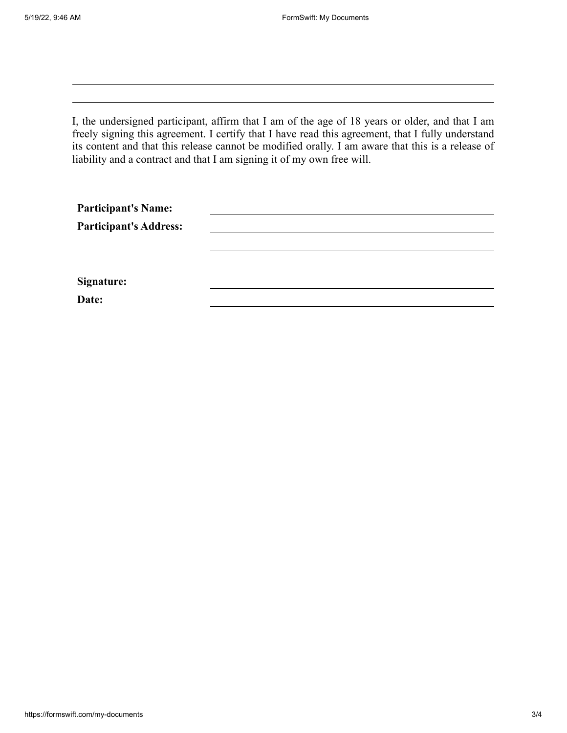I, the undersigned participant, affirm that I am of the age of 18 years or older, and that I am freely signing this agreement. I certify that I have read this agreement, that I fully understand its content and that this release cannot be modified orally. I am aware that this is a release of liability and a contract and that I am signing it of my own free will.